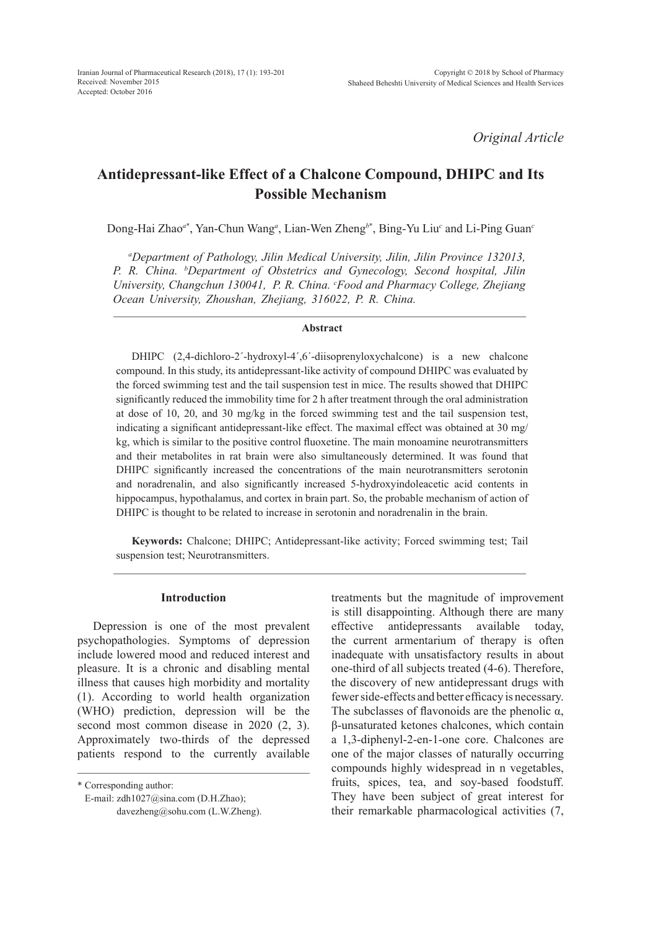*Original Article*

# **Antidepressant-like Effect of a Chalcone Compound, DHIPC and Its Possible Mechanism**

Dong-Hai Zhao*<sup>a</sup>*\* , Yan-Chun Wang*<sup>a</sup>* , Lian-Wen Zheng*<sup>b</sup>*\* , Bing-Yu Liu*<sup>c</sup>* and Li-Ping Guan*<sup>c</sup>*

*a Department of Pathology, Jilin Medical University, Jilin, Jilin Province 132013, P. R. China. b Department of Obstetrics and Gynecology, Second hospital, Jilin*  University, Changchun 130041, P. R. China. <sup>c</sup>Food and Pharmacy College, Zhejiang *Ocean University, Zhoushan, Zhejiang, 316022, P. R. China.*

#### **Abstract**

DHIPC (2,4-dichloro-2´-hydroxyl-4´,6´-diisoprenyloxychalcone) is a new chalcone compound. In this study, its antidepressant-like activity of compound DHIPC was evaluated by the forced swimming test and the tail suspension test in mice. The results showed that DHIPC significantly reduced the immobility time for 2 h after treatment through the oral administration at dose of 10, 20, and 30 mg/kg in the forced swimming test and the tail suspension test, indicating a significant antidepressant-like effect. The maximal effect was obtained at 30 mg/ kg, which is similar to the positive control fluoxetine. The main monoamine neurotransmitters and their metabolites in rat brain were also simultaneously determined. It was found that DHIPC significantly increased the concentrations of the main neurotransmitters serotonin and noradrenalin, and also significantly increased 5-hydroxyindoleacetic acid contents in hippocampus, hypothalamus, and cortex in brain part. So, the probable mechanism of action of DHIPC is thought to be related to increase in serotonin and noradrenalin in the brain.

**Keywords:** Chalcone; DHIPC; Antidepressant-like activity; Forced swimming test; Tail suspension test; Neurotransmitters.

### **Introduction**

Depression is one of the most prevalent psychopathologies. Symptoms of depression include lowered mood and reduced interest and pleasure. It is a chronic and disabling mental illness that causes high morbidity and mortality (1). According to world health organization (WHO) prediction, depression will be the second most common disease in 2020  $(2, 3)$ . Approximately two-thirds of the depressed patients respond to the currently available treatments but the magnitude of improvement is still disappointing. Although there are many effective antidepressants available today, the current armentarium of therapy is often inadequate with unsatisfactory results in about one-third of all subjects treated (4-6). Therefore, the discovery of new antidepressant drugs with fewer side-effects and better efficacy is necessary. The subclasses of flavonoids are the phenolic  $\alpha$ , β-unsaturated ketones chalcones, which contain a 1,3-diphenyl-2-en-1-one core. Chalcones are one of the major classes of naturally occurring compounds highly widespread in n vegetables, fruits, spices, tea, and soy-based foodstuff. They have been subject of great interest for their remarkable pharmacological activities (7,

<sup>\*</sup> Corresponding author:

E-mail: zdh1027@sina.com (D.H.Zhao); davezheng@sohu.com (L.W.Zheng).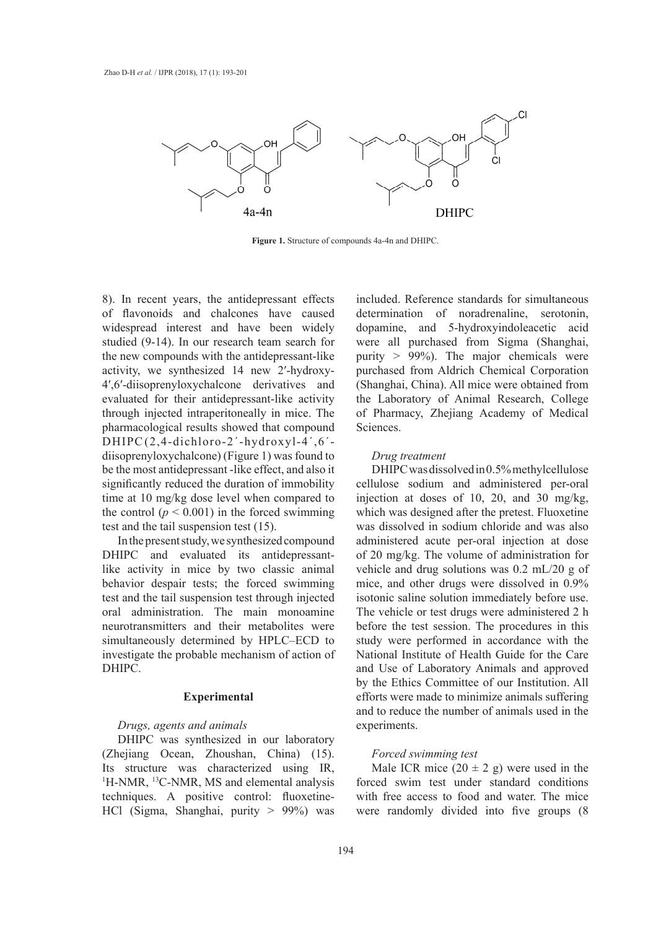

**Figure 1.** Structure of compounds 4a-4n and DHIPC. **Figure 1.** Structure of compounds 4a-4n and DHIPC.

8). In recent years, the antidepressant effects of flavonoids and chalcones have caused determination of noradrenaline, ser widespread interest and have been widely studied (9-14). In our research team search for were all purchased from Sigma (Sha the new compounds with the antidepressant-like activity, we synthesized 14 new 2′-hydroxy-4',6'-diisoprenyloxychalcone derivatives and (Shanghai, China). A evaluated for their antidepressant-like activity through injected intraperitoneally in mice. The pharmacological results showed that compound DHIPC(2,4-dichloro-2'-hydroxyl-4',6'diisoprenyloxychalcone) (Figure 1) was found to be the most antidepressant -like effect, and also it significantly reduced the duration of immobility signmeantly reduced the duration of immodifity<br>time at 10 mg/kg dose level when compared to the control ( $p < 0.001$ ) in the forced swimming which was designed after the pretest. Fluorent test and the tail suspension test (15).

In the present study, we synthesized compound DHIPC and evaluated its antidepressantlike activity in mice by two classic animal vehicle and drug solutions was 0.2 mL/2 behavior despair tests; the forced swimming test and the tail suspension test through injected isotonic saline solution immediately befo oral administration. The main monoamine neurotransmitters and their metabolites were before the test session. The procedures simultaneously determined by HPLC–ECD to investigate the probable mechanism of action of DHIPC.

#### **Experimental**

#### *Drugs, agents and animals*

DHIPC was synthesized in our laboratory (Zhejiang Ocean, Zhoushan, China) (15). Its structure was characterized using IR, <sup>1</sup>H-NMR, <sup>13</sup>C-NMR, MS and elemental analysis techniques. A positive control: fluoxetine-HCl (Sigma, Shanghai, purity > 99%) was

included. Reference standards for simultaneous determination of noradrenaline, serotonin, dopamine, and 5-hydroxyindoleacetic acid were all purchased from Sigma (Shanghai, purity > 99%). The major chemicals were monographical monographical monographical corporation were synthesized 14 new 2'-hydroxy-<br>muchased from Aldrich Chemical Corporation (Shanghai, China). All mice were obtained from the Laboratory of Animal Research, College The of Pharmacy, Zhejiang Academy of Medical Sciences.

## *Drug treatment*

antidepressant -like effect, and also it DHIPC was dissolved in 0.5% methylcellulose ty cellulose sodium and administered per-oral the initiative at decay of 10, 20, and 20, and the injection at doses of 10, 20, and 30 mg/kg, which was designed after the pretest. Fluoxetine was dissolved in sodium chloride and was also he present study, we synthesized compound administered acute per-oral injection at dose of 20 mg/kg. The volume of administration for vehicle and drug solutions was 0.2 mL/20 g of mice, and other drugs were dissolved in 0.9% isotonic saline solution immediately before use. The vehicle or test drugs were administered 2 h before the test session. The procedures in this study were performed in accordance with the National Institute of Health Guide for the Care and Use of Laboratory Animals and approved by the Ethics Committee of our Institution. All efforts were made to minimize animals suffering and to reduce the number of animals used in the experiments.

#### *Forced swimming test*

Male ICR mice  $(20 \pm 2 \text{ g})$  were used in the forced swim test under standard conditions with free access to food and water. The mice were randomly divided into five groups (8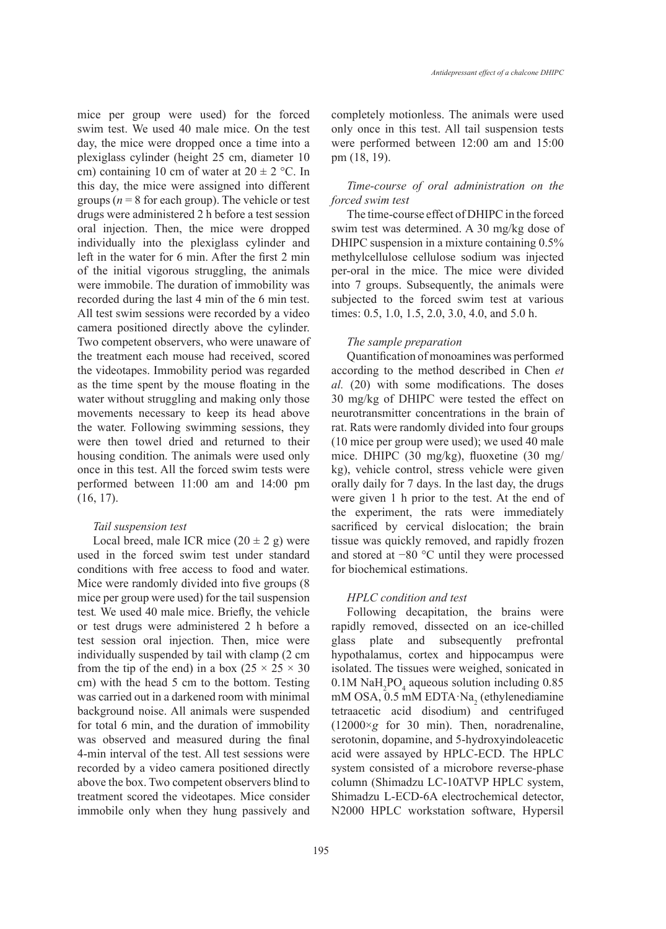mice per group were used) for the forced swim test. We used 40 male mice. On the test day, the mice were dropped once a time into a plexiglass cylinder (height 25 cm, diameter 10 cm) containing 10 cm of water at  $20 \pm 2$  °C. In this day, the mice were assigned into different groups ( $n = 8$  for each group). The vehicle or test drugs were administered 2 h before a test session oral injection. Then, the mice were dropped individually into the plexiglass cylinder and left in the water for 6 min. After the first 2 min of the initial vigorous struggling, the animals were immobile. The duration of immobility was recorded during the last 4 min of the 6 min test. All test swim sessions were recorded by a video camera positioned directly above the cylinder. Two competent observers, who were unaware of the treatment each mouse had received, scored the videotapes. Immobility period was regarded as the time spent by the mouse floating in the water without struggling and making only those movements necessary to keep its head above the water. Following swimming sessions, they were then towel dried and returned to their housing condition. The animals were used only once in this test. All the forced swim tests were performed between 11:00 am and 14:00 pm (16, 17).

#### *Tail suspension test*

Local breed, male ICR mice  $(20 \pm 2 \text{ g})$  were used in the forced swim test under standard conditions with free access to food and water. Mice were randomly divided into five groups (8 mice per group were used) for the tail suspension test*.* We used 40 male mice. Briefly, the vehicle or test drugs were administered 2 h before a test session oral injection. Then, mice were individually suspended by tail with clamp (2 cm from the tip of the end) in a box  $(25 \times 25 \times 30)$ cm) with the head 5 cm to the bottom. Testing was carried out in a darkened room with minimal background noise. All animals were suspended for total 6 min, and the duration of immobility was observed and measured during the final 4-min interval of the test. All test sessions were recorded by a video camera positioned directly above the box. Two competent observers blind to treatment scored the videotapes. Mice consider immobile only when they hung passively and completely motionless. The animals were used only once in this test. All tail suspension tests were performed between 12:00 am and 15:00 pm (18, 19).

### *Time-course of oral administration on the forced swim test*

The time-course effect of DHIPC in the forced swim test was determined. A 30 mg/kg dose of DHIPC suspension in a mixture containing 0.5% methylcellulose cellulose sodium was injected per-oral in the mice. The mice were divided into 7 groups. Subsequently, the animals were subjected to the forced swim test at various times: 0.5, 1.0, 1.5, 2.0, 3.0, 4.0, and 5.0 h.

#### *The sample preparation*

Quantification of monoamines was performed according to the method described in Chen *et al.* (20) with some modifications. The doses 30 mg/kg of DHIPC were tested the effect on neurotransmitter concentrations in the brain of rat. Rats were randomly divided into four groups (10 mice per group were used); we used 40 male mice. DHIPC (30 mg/kg), fluoxetine (30 mg/ kg), vehicle control, stress vehicle were given orally daily for 7 days. In the last day, the drugs were given 1 h prior to the test. At the end of the experiment, the rats were immediately sacrificed by cervical dislocation; the brain tissue was quickly removed, and rapidly frozen and stored at −80 °C until they were processed for biochemical estimations.

### *HPLC condition and test*

Following decapitation, the brains were rapidly removed, dissected on an ice-chilled glass plate and subsequently prefrontal hypothalamus, cortex and hippocampus were isolated. The tissues were weighed, sonicated in  $0.1M$  NaH<sub>2</sub>PO<sub>4</sub> aqueous solution including  $0.85$ mM OSA,  $0.5$  mM EDTA·Na<sub>2</sub> (ethylenediamine tetraacetic acid disodium) and centrifuged (12000×*g* for 30 min). Then, noradrenaline, serotonin, dopamine, and 5-hydroxyindoleacetic acid were assayed by HPLC-ECD. The HPLC system consisted of a microbore reverse-phase column (Shimadzu LC-10ATVP HPLC system, Shimadzu L-ECD-6A electrochemical detector, N2000 HPLC workstation software, Hypersil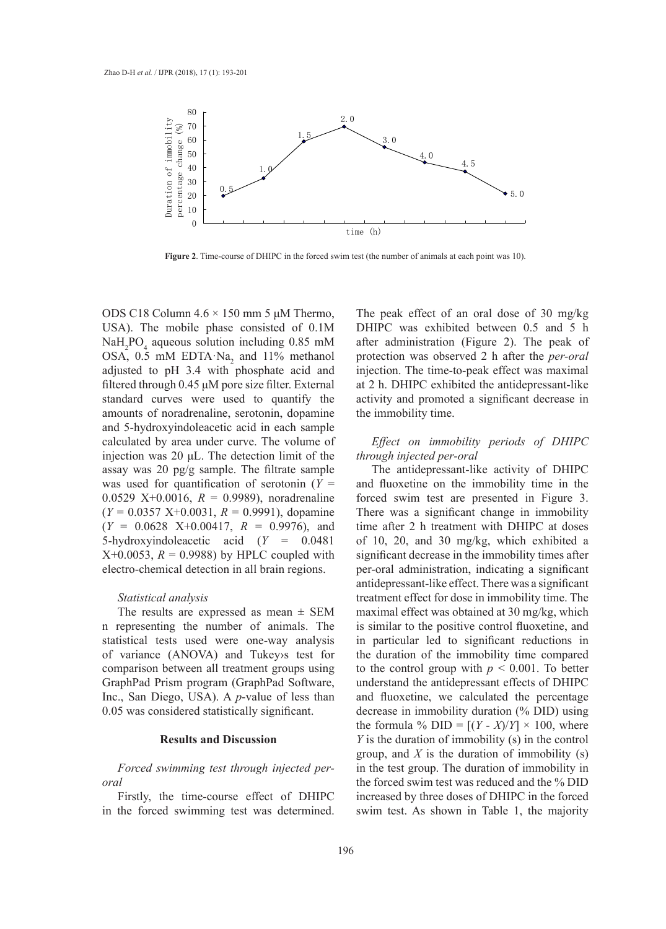

**Figure 2**. Time-course of DHIPC in the forced swim test (the number of animals at each point was 10).

ODS C18 Column 4.6 × 150 mm 5 μM Thermo, The peak effect USA). The mobile phase consisted of 0.1M  $NaH<sub>2</sub>PO<sub>4</sub>$  aqueous solution including 0.85 mM OSA,  $0.5$  mM EDTA Na<sub>2</sub> and 11% methanol adjusted to pH 3.4 with phosphate acid and filtered through 0.45 μM pore size filter. External standard curves were used to quantify the amounts of noradrenaline, serotonin, dopamine and 5-hydroxyindoleacetic acid in each sample calculated by area under curve. The volume of injection was 20 μL. The detection limit of the assay was 20 pg/g sample. The filtrate sample was used for quantification of serotonin (*Y* = 0.0529 X+0.0016, *R* = 0.9989), noradrenaline (*Y* = 0.0357 X+0.0031, *R* = 0.9991), dopamine (*Y* = 0.0628 X+0.00417, *R* = 0.9976), and 5-hydroxyindoleacetic acid (*Y* = 0.0481  $X+0.0053$ ,  $R = 0.9988$ ) by HPLC coupled with electro-chemical detection in all brain regions.

#### *Statistical analysis*

The results are expressed as mean  $\pm$  SEM n representing the number of animals. The statistical tests used were one-way analysis of variance (ANOVA) and Tukey›s test for comparison between all treatment groups using GraphPad Prism program (GraphPad Software, Inc., San Diego, USA). A *p*-value of less than 0.05 was considered statistically significant.

#### **Results and Discussion**

*Forced swimming test through injected peroral*

Firstly, the time-course effect of DHIPC in the forced swimming test was determined. The peak effect of an oral dose of 30 mg/kg DHIPC was exhibited between 0.5 and 5 h after administration (Figure 2). The peak of protection was observed 2 h after the *per-oral* injection. The time-to-peak effect was maximal at 2 h. DHIPC exhibited the antidepressant-like activity and promoted a significant decrease in the immobility time.

## *Effect on immobility periods of DHIPC through injected per-oral*

The antidepressant-like activity of DHIPC and fluoxetine on the immobility time in the forced swim test are presented in Figure 3. There was a significant change in immobility time after 2 h treatment with DHIPC at doses of 10, 20, and 30 mg/kg, which exhibited a significant decrease in the immobility times after per-oral administration, indicating a significant antidepressant-like effect. There was a significant treatment effect for dose in immobility time. The maximal effect was obtained at 30 mg/kg, which is similar to the positive control fluoxetine, and in particular led to significant reductions in the duration of the immobility time compared to the control group with  $p \le 0.001$ . To better understand the antidepressant effects of DHIPC and fluoxetine, we calculated the percentage decrease in immobility duration (% DID) using the formula % DID =  $[(Y – X)/Y] \times 100$ , where *Y* is the duration of immobility (s) in the control group, and  $X$  is the duration of immobility  $(s)$ in the test group. The duration of immobility in the forced swim test was reduced and the % DID increased by three doses of DHIPC in the forced swim test. As shown in Table 1, the majority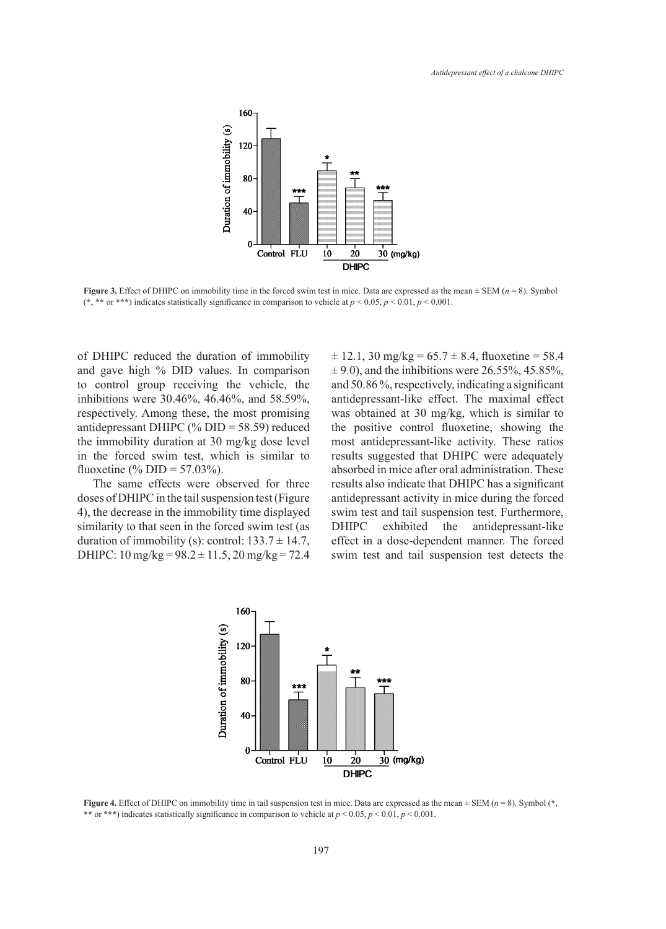

Figure 3. Effect of DHIPC on immobility time in the forced swim test in mice. Data are expressed as the mean  $\pm$  SEM ( $n = 8$ ). Symbol (\*, \*\* or \*\*\*) indicates statistically significance in comparison to vehicle at  $p < 0.05$ ,  $p < 0.01$ ,  $p < 0.001$ .

of DHIPC reduced the duration of immobility and gave high % DID values. In comparison to control group receiving the vehicle, the inhibitions were 30.46%, 46.46%, and 58.59%, respectively. Among these, the most promising antidepressant DHIPC (% DID = 58.59) reduced the immobility duration at 30 mg/kg dose level in the forced swim test, which is similar to fluoxetine (% DID =  $57.03\%$ ).

The same effects were observed for three doses of DHIPC in the tail suspension test (Figure 4), the decrease in the immobility time displayed duration of immobility (s): control:  $133.7 \pm 14.7$ , effect in a dose-compared with control (**\*** DHIPC:  $10 \text{ mg/kg} = 98.2 \pm 11.5$ ,  $20 \text{ mg/kg} = 72.4$  swim test and tail

similarity to that seen in the forced swim test (as DHIPC exhibited the antidepressant-like PC reduced the duration of immobility  $\pm 12.1$ , 30 mg/kg = 65.7  $\pm$  8.4, fluoxetine = 58.4 we high % DID values. In comparison  $\pm 9.0$ , and the inhibitions were 26.55%, 45.85%, and 50.86 %, respectively, indicating a significant ons were 30.46%, 46.46%, and 58.59%, antidepressant-like effect. The maximal effect was obtained at 30 mg/kg, which is similar to  $t$  ressant DHIPC (% DID = 58.59) reduced the positive control fluoxetine, showing the el most antidepressant-like activity. These ratios Forced swim test, which is similar to results suggested that DHIPC were adequately ne (% DID = 57.03%). absorbed in mice after oral administration. These and tail suspension test and tail suspension test detects the force of the force of the force of the force of the force of the force of the force of th observed for three results also indicate that DHIPC has a significant ispension test (Figure antidepressant activity in mice during the forced swim test and tail suspension test. Furthermore, DHIPC exhibited the antidepressant-like effect in a dose-dependent manner. The forced swim test and tail suspension test detects the DHIPC in the tail suspension test (Figure antidepressant activity in mice during the ecrease in the immobility time displayed swim test and tail suspension test. Further to that seen in the forced swim test (as  $\Box$ DHIPC  $a_10 \text{ mg/kg} - 08.2 + 11.5, 20 \text{ mg/kg} - 72.4$  swim test and tail suspansion test date



Figure 4. Effect of DHIPC on immobility time in tail suspension test in mice. Data are expressed as the mean  $\pm$  SEM ( $n = 8$ ). Symbol (\*, \*\* or \*\*\*) indicates statistically significance in comparison to vehicle at  $p < 0.05$ ,  $p < 0.01$ ,  $p < 0.001$ .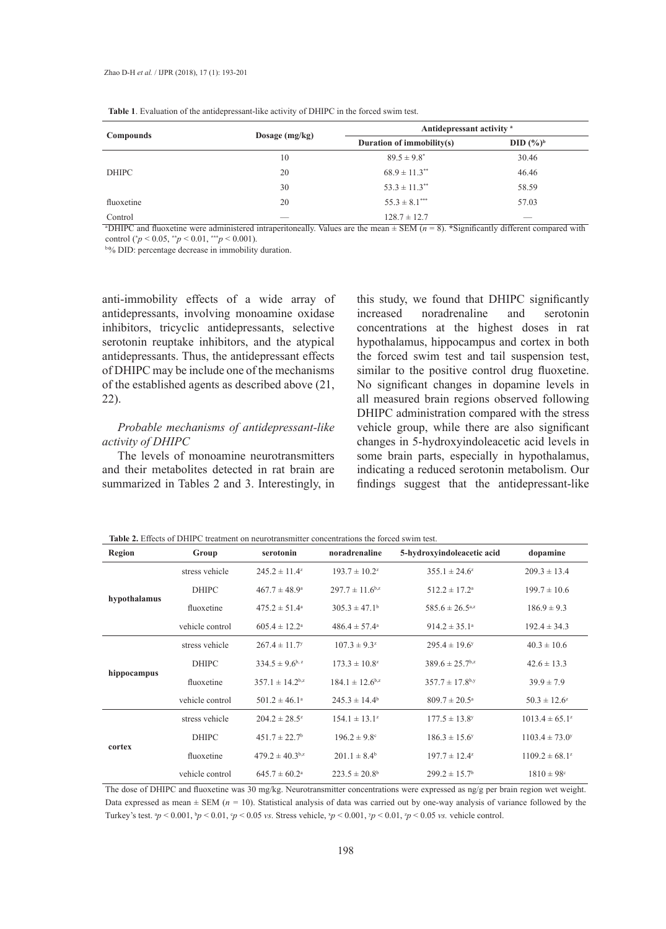|              |                  | Antidepressant activity <sup>a</sup> |                           |  |  |
|--------------|------------------|--------------------------------------|---------------------------|--|--|
| Compounds    | Dosage $(mg/kg)$ | Duration of immobility(s)            | DID $(%^{\circ})^{\circ}$ |  |  |
|              | 10               | $89.5 \pm 9.8^*$                     | 30.46                     |  |  |
| <b>DHIPC</b> | 20               | $68.9 \pm 11.3$ <sup>**</sup>        | 46.46                     |  |  |
|              | 30               | $53.3 \pm 11.3$ <sup>**</sup>        | 58.59                     |  |  |
| fluoxetine   | 20               | $55.3 \pm 8.1***$                    | 57.03                     |  |  |
| Control      |                  | $128.7 \pm 12.7$                     |                           |  |  |

|  |  | <b>Table 1.</b> Evaluation of the antidepressant-like activity of DHIPC in the forced swim test. |  |  |  |  |  |
|--|--|--------------------------------------------------------------------------------------------------|--|--|--|--|--|
|--|--|--------------------------------------------------------------------------------------------------|--|--|--|--|--|

a DHIPC and fluoxetine were administered intraperitoneally. Values are the mean ± SEM (*n* = 8). **\***Significantly different compared with control ( $p < 0.05$ ,  $\binom{*}{p} < 0.01$ ,  $\binom{*}{p} < 0.001$ ).

b% DID: percentage decrease in immobility duration.

anti-immobility effects of a wide array of antidepressants, involving monoamine oxidase inhibitors, tricyclic antidepressants, selective serotonin reuptake inhibitors, and the atypical antidepressants. Thus, the antidepressant effects of DHIPC may be include one of the mechanisms of the established agents as described above (21, 22).

## *Probable mechanisms of antidepressant-like activity of DHIPC*

The levels of monoamine neurotransmitters and their metabolites detected in rat brain are summarized in Tables 2 and 3. Interestingly, in this study, we found that DHIPC significantly increased noradrenaline and serotonin concentrations at the highest doses in rat hypothalamus, hippocampus and cortex in both the forced swim test and tail suspension test, similar to the positive control drug fluoxetine. No significant changes in dopamine levels in all measured brain regions observed following DHIPC administration compared with the stress vehicle group, while there are also significant changes in 5-hydroxyindoleacetic acid levels in some brain parts, especially in hypothalamus, indicating a reduced serotonin metabolism. Our findings suggest that the antidepressant-like

**Table 2.** Effects of DHIPC treatment on neurotransmitter concentrations the forced swim test.

| <b>Region</b> | Group           | serotonin                       | noradrenaline                   | 5-hydroxyindoleacetic acid      | dopamine                       |
|---------------|-----------------|---------------------------------|---------------------------------|---------------------------------|--------------------------------|
| hypothalamus  | stress vehicle  | $245.2 \pm 11.4^z$              | $193.7 \pm 10.2^z$              | $355.1 \pm 24.6^z$              | $209.3 \pm 13.4$               |
|               | <b>DHIPC</b>    | $467.7 \pm 48.9^{\circ}$        | $297.7 \pm 11.6^{b,z}$          | $512.2 \pm 17.2^a$              | $199.7 \pm 10.6$               |
|               | fluoxetine      | $475.2 \pm 51.4^{\circ}$        | $305.3 \pm 47.1^{\circ}$        | $585.6 \pm 26.5^{a,z}$          | $186.9 \pm 9.3$                |
|               | vehicle control | $605.4 \pm 12.2^{\text{a}}$     | $486.4 \pm 57.4^{\circ}$        | $914.2 \pm 35.1^a$              | $192.4 \pm 34.3$               |
| hippocampus   | stress vehicle  | $267.4 \pm 11.7$ <sup>y</sup>   | $107.3 \pm 9.3^z$               | $295.4 \pm 19.6^y$              | $40.3 \pm 10.6$                |
|               | <b>DHIPC</b>    | $334.5 \pm 9.6^{b,z}$           | $173.3 \pm 10.8^z$              | $389.6 \pm 25.7$ <sup>b,z</sup> | $42.6 \pm 13.3$                |
|               | fluoxetine      | $357.1 \pm 14.2$ <sup>b,z</sup> | $184.1 \pm 12.6$ <sup>b,z</sup> | $357.7 \pm 17.8$ <sup>b,y</sup> | $39.9 \pm 7.9$                 |
|               | vehicle control | $501.2 \pm 46.1^{\circ}$        | $245.3 \pm 14.4^b$              | $809.7 \pm 20.5^{\circ}$        | $50.3 \pm 12.6^z$              |
| cortex        | stress vehicle  | $204.2 \pm 28.5^z$              | $154.1 \pm 13.1^z$              | $177.5 \pm 13.8$ <sup>y</sup>   | $1013.4 \pm 65.1^z$            |
|               | <b>DHIPC</b>    | $451.7 \pm 22.7$ <sup>b</sup>   | $196.2 \pm 9.8$ °               | $186.3 \pm 15.6^y$              | $1103.4 \pm 73.0$ <sup>y</sup> |
|               | fluoxetine      | $479.2 \pm 40.3$ <sup>b,z</sup> | $201.1 \pm 8.4^b$               | $197.7 \pm 12.4^z$              | $1109.2 \pm 68.1^z$            |
|               | vehicle control | $645.7 \pm 60.2^{\circ}$        | $223.5 \pm 20.8^{\rm b}$        | $299.2 \pm 15.7$ <sup>b</sup>   | $1810 \pm 98$ <sup>c</sup>     |

The dose of DHIPC and fluoxetine was 30 mg/kg. Neurotransmitter concentrations were expressed as ng/g per brain region wet weight. Data expressed as mean ± SEM (*n =* 10). Statistical analysis of data was carried out by one-way analysis of variance followed by the Turkey's test.  $^{8}p < 0.001$ ,  $^{6}p < 0.01$ ,  $^{6}p < 0.05$  *vs*. Stress vehicle,  $^{8}p < 0.001$ ,  $^{7}p < 0.01$ ,  $^{7}p < 0.05$  *vs.* vehicle control.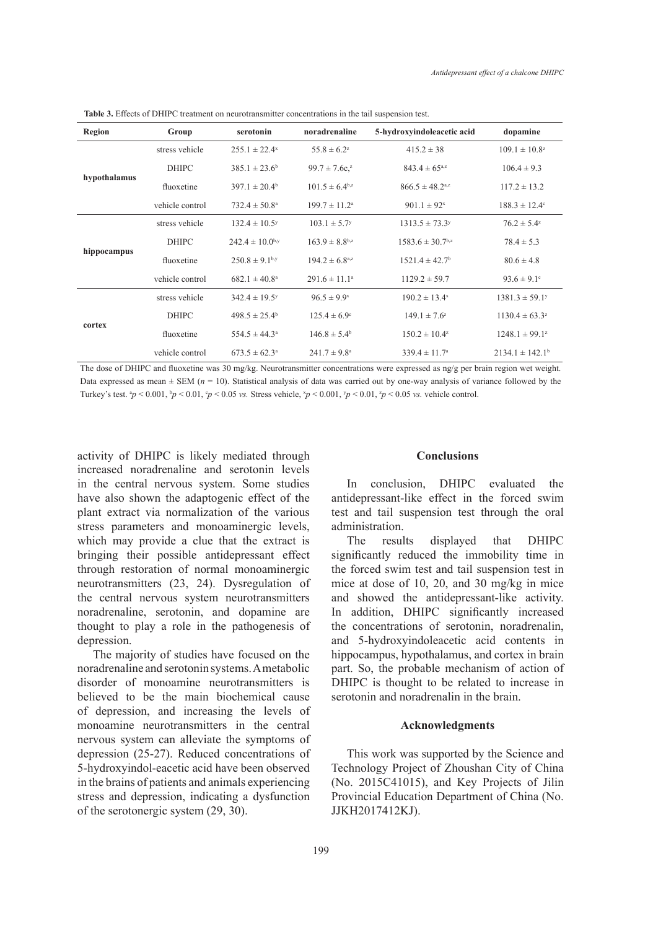| Region       | Group           | serotonin                     | noradrenaline                  | 5-hydroxyindoleacetic acid       | dopamine                       |
|--------------|-----------------|-------------------------------|--------------------------------|----------------------------------|--------------------------------|
| hypothalamus | stress vehicle  | $255.1 \pm 22.4$ <sup>x</sup> | $55.8 \pm 6.2^z$               | $415.2 \pm 38$                   | $109.1 \pm 10.8^z$             |
|              | <b>DHIPC</b>    | $385.1 \pm 23.6^b$            | $99.7 \pm 7.6c^{2}$            | $843.4 \pm 65^{a,z}$             | $106.4 \pm 9.3$                |
|              | fluoxetine      | $397.1 \pm 20.4^b$            | $101.5 \pm 6.4^{b,z}$          | $866.5 \pm 48.2^{\text{a,z}}$    | $117.2 \pm 13.2$               |
|              | vehicle control | $732.4 \pm 50.8^{\circ}$      | $199.7 \pm 11.2^{\text{a}}$    | $901.1 \pm 92^x$                 | $188.3 \pm 12.4^{\circ}$       |
| hippocampus  | stress vehicle  | $132.4 \pm 10.5^y$            | $103.1 \pm 5.7$ <sup>y</sup>   | $1313.5 \pm 73.3$ <sup>y</sup>   | $76.2 \pm 5.4^z$               |
|              | <b>DHIPC</b>    | $242.4 \pm 10.0^{b,y}$        | $163.9 \pm 8.8$ <sup>b,z</sup> | $1583.6 \pm 30.7$ <sup>b,z</sup> | $78.4 \pm 5.3$                 |
|              | fluoxetine      | $250.8 \pm 9.1^{b,y}$         | $194.2 \pm 6.8^{a,z}$          | $1521.4 \pm 42.7$ <sup>b</sup>   | $80.6 \pm 4.8$                 |
|              | vehicle control | $682.1 \pm 40.8^a$            | $291.6 \pm 11.1^a$             | $1129.2 \pm 59.7$                | $93.6 \pm 9.1$ °               |
| cortex       | stress vehicle  | $342.4 \pm 19.5$ <sup>y</sup> | $96.5 \pm 9.9^x$               | $190.2 \pm 13.4$ <sup>x</sup>    | $1381.3 \pm 59.1$ <sup>y</sup> |
|              | <b>DHIPC</b>    | $498.5 \pm 25.4^{\circ}$      | $125.4 \pm 6.9^{\circ}$        | $149.1 \pm 7.6^z$                | $1130.4 \pm 63.3^z$            |
|              | fluoxetine      | $554.5 \pm 44.3^a$            | $146.8 \pm 5.4^b$              | $150.2 \pm 10.4^z$               | $1248.1 \pm 99.1^z$            |
|              | vehicle control | $673.5 \pm 62.3^{\circ}$      | $241.7 \pm 9.8^{\circ}$        | $339.4 \pm 11.7^{\circ}$         | $2134.1 \pm 142.1^{\circ}$     |

**Table 3.** Effects of DHIPC treatment on neurotransmitter concentrations in the tail suspension test.

The dose of DHIPC and fluoxetine was 30 mg/kg. Neurotransmitter concentrations were expressed as ng/g per brain region wet weight. Data expressed as mean  $\pm$  SEM ( $n = 10$ ). Statistical analysis of data was carried out by one-way analysis of variance followed by the Turkey's test.  $^{8}p < 0.001$ ,  $^{6}p < 0.01$ ,  $^{6}p < 0.05$  *vs*. Stress vehicle,  $^{3}p < 0.001$ ,  $^{7}p < 0.01$ ,  $^{7}p < 0.05$  *vs.* vehicle control.

activity of DHIPC is likely mediated through increased noradrenaline and serotonin levels in the central nervous system. Some studies have also shown the adaptogenic effect of the plant extract via normalization of the various stress parameters and monoaminergic levels, which may provide a clue that the extract is bringing their possible antidepressant effect through restoration of normal monoaminergic neurotransmitters (23, 24). Dysregulation of the central nervous system neurotransmitters noradrenaline, serotonin, and dopamine are thought to play a role in the pathogenesis of depression.

The majority of studies have focused on the noradrenaline and serotonin systems. A metabolic disorder of monoamine neurotransmitters is believed to be the main biochemical cause of depression, and increasing the levels of monoamine neurotransmitters in the central nervous system can alleviate the symptoms of depression (25-27). Reduced concentrations of 5-hydroxyindol-eacetic acid have been observed in the brains of patients and animals experiencing stress and depression, indicating a dysfunction of the serotonergic system (29, 30).

#### **Conclusions**

In conclusion, DHIPC evaluated the antidepressant-like effect in the forced swim test and tail suspension test through the oral administration.

The results displayed that DHIPC significantly reduced the immobility time in the forced swim test and tail suspension test in mice at dose of 10, 20, and 30 mg/kg in mice and showed the antidepressant-like activity. In addition, DHIPC significantly increased the concentrations of serotonin, noradrenalin, and 5-hydroxyindoleacetic acid contents in hippocampus, hypothalamus, and cortex in brain part. So, the probable mechanism of action of DHIPC is thought to be related to increase in serotonin and noradrenalin in the brain.

#### **Acknowledgments**

This work was supported by the Science and Technology Project of Zhoushan City of China (No. 2015C41015), and Key Projects of Jilin Provincial Education Department of China (No. JJKH2017412KJ).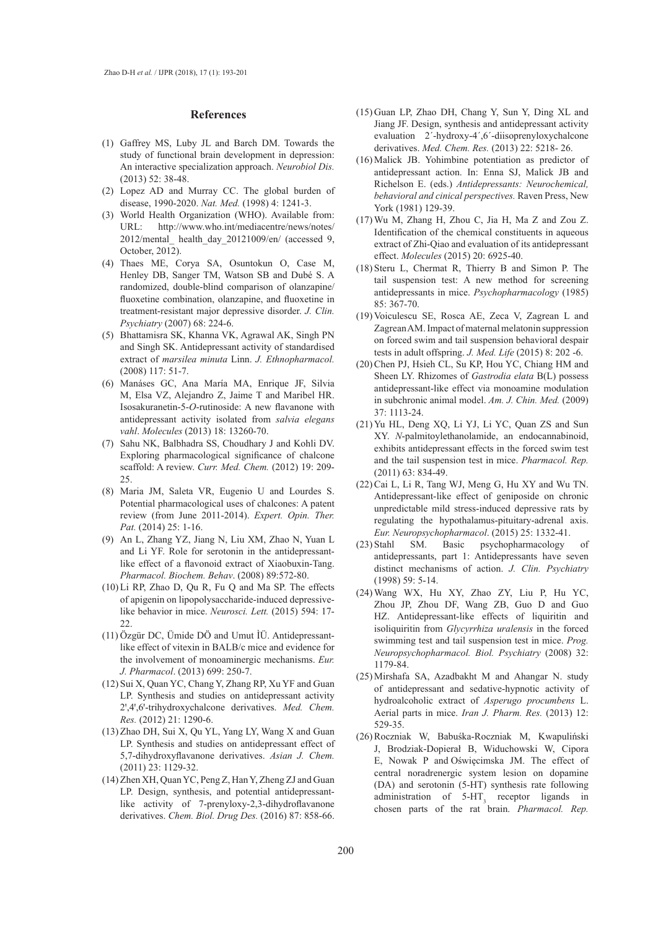#### **References**

- Gaffrey MS, Luby JL and Barch DM. Towards the (1) study of functional brain development in depression: An interactive specialization approach. *Neurobiol Dis.* (2013) 52: 38-48.
- Lopez AD and Murray CC. The global burden of (2) disease, 1990-2020. *Nat. Med.* (1998) 4: 1241-3.
- World Health Organization (WHO). Available from: (3) URL: http://www.who.int/mediacentre/news/notes/ 2012/mental\_ health\_day\_20121009/en/ (accessed 9, October, 2012).
- Thaes ME, Corya SA, Osuntokun O, Case M, (4) Henley DB, Sanger TM, Watson SB and Dubé S. A randomized, double-blind comparison of olanzapine/ fluoxetine combination, olanzapine, and fluoxetine in treatment-resistant major depressive disorder. *J. Clin. Psychiatry* (2007) 68: 224-6.
- (5) Bhattamisra SK, Khanna VK, Agrawal AK, Singh PN and Singh SK. Antidepressant activity of standardised extract of *marsilea minuta* Linn. *J. Ethnopharmacol.* (2008) 117: 51-7.
- Manáses GC, Ana María MA, Enrique JF, Silvia (6) M, Elsa VZ, Alejandro Z, Jaime T and Maribel HR. Isosakuranetin-5-*O*-rutinoside: A new flavanone with antidepressant activity isolated from *salvia elegans vahl*. *Molecules* (2013) 18: 13260-70.
- (7) Sahu NK, Balbhadra SS, Choudhary J and Kohli DV. Exploring pharmacological significance of chalcone scaffold: A review. *Curr. Med. Chem.* (2012) 19: 209- 25.
- Maria JM, Saleta VR, Eugenio U and Lourdes S. (8) Potential pharmacological uses of chalcones: A patent review (from June 2011-2014). *Expert. Opin. Ther. Pat.* (2014) 25: 1-16.
- An L, Zhang YZ, Jiang N, Liu XM, Zhao N, Yuan L (9) and Li YF. Role for serotonin in the antidepressantlike effect of a flavonoid extract of Xiaobuxin-Tang. *Pharmacol. Biochem. Behav*. (2008) 89:572-80.
- $(10)$  Li RP, Zhao D, Qu R, Fu Q and Ma SP. The effects of apigenin on lipopolysaccharide-induced depressivelike behavior in mice. *Neurosci. Lett.* (2015) 594: 17- 22.
- Özgür DC, Ümide DÖ and Umut ÌÜ. Antidepressant-(11) like effect of vitexin in BALB/c mice and evidence for the involvement of monoaminergic mechanisms. *Eur. J. Pharmacol*. (2013) 699: 250-7.
- (12) Sui X, Quan YC, Chang Y, Zhang RP, Xu YF and Guan LP. Synthesis and studies on antidepressant activity 2ꞌ,4ꞌ,6ꞌ-trihydroxychalcone derivatives. *Med. Chem. Res.* (2012) 21: 1290-6.
- (13) Zhao DH, Sui X, Qu YL, Yang LY, Wang X and Guan LP. Synthesis and studies on antidepressant effect of 5,7-dihydroxyflavanone derivatives. *Asian J. Chem.* (2011) 23: 1129-32.
- (14) Zhen XH, Quan YC, Peng Z, Han Y, Zheng ZJ and Guan LP. Design, synthesis, and potential antidepressantlike activity of 7-prenyloxy-2,3-dihydroflavanone derivatives. *Chem. Biol. Drug Des.* (2016) 87: 858-66.
- (15) Guan LP, Zhao DH, Chang Y, Sun Y, Ding XL and Jiang JF. Design, synthesis and antidepressant activity evaluation 2´-hydroxy-4´,6´-diisoprenyloxychalcone derivatives. *Med. Chem. Res.* (2013) 22: 5218- 26.
- $(16)$  Malick JB. Yohimbine potentiation as predictor of antidepressant action. In: Enna SJ, Malick JB and Richelson E. (eds.) *Antidepressants: Neurochemical, behavioral and cinical perspectives.* Raven Press, New York (1981) 129-39.
- Wu M, Zhang H, Zhou C, Jia H, Ma Z and Zou Z. (17) Identification of the chemical constituents in aqueous extract of Zhi-Qiao and evaluation of its antidepressant effect. *Molecules* (2015) 20: 6925-40.
- $(18)$  Steru L, Chermat R, Thierry B and Simon P. The tail suspension test: A new method for screening antidepressants in mice. *Psychopharmacology* (1985) 85: 367-70.
- (19) Voiculescu SE, Rosca AE, Zeca V, Zagrean L and Zagrean AM. Impact of maternal melatonin suppression on forced swim and tail suspension behavioral despair tests in adult offspring. *J. Med. Life* (2015) 8: 202 -6.
- (20) Chen PJ, Hsieh CL, Su KP, Hou YC, Chiang HM and Sheen LY. Rhizomes of *Gastrodia elata* B(L) possess antidepressant-like effect via monoamine modulation in subchronic animal model. *Am. J. Chin. Med.* (2009) 37: 1113-24.
- (21) Yu HL, Deng XQ, Li YJ, Li YC, Quan ZS and Sun XY. *N*-palmitoylethanolamide, an endocannabinoid, exhibits antidepressant effects in the forced swim test and the tail suspension test in mice. *Pharmacol. Rep.*  (2011) 63: 834-49.
- $(22)$  Cai L, Li R, Tang WJ, Meng G, Hu XY and Wu TN. Antidepressant-like effect of geniposide on chronic unpredictable mild stress-induced depressive rats by regulating the hypothalamus-pituitary-adrenal axis. *Eur. Neuropsychopharmacol*. (2015) 25: 1332-41.
- SM. Basic psychopharmacology of antidepressants, part 1: Antidepressants have seven distinct mechanisms of action. *J. Clin. Psychiatry* (1998) 59: 5-14. (23)
- Wang WX, Hu XY, Zhao ZY, Liu P, Hu YC, (24) Zhou JP, Zhou DF, Wang ZB, Guo D and Guo HZ. Antidepressant-like effects of liquiritin and isoliquiritin from *Glycyrrhiza uralensis* in the forced swimming test and tail suspension test in mice. *Prog. Neuropsychopharmacol. Biol. Psychiatry* (2008) 32: 1179-84.
- (25) Mirshafa SA, Azadbakht M and Ahangar N. study of antidepressant and sedative-hypnotic activity of hydroalcoholic extract of *Asperugo procumbens* L. Aerial parts in mice. *Iran J. Pharm. Res.* (2013) 12: 529-35.
- (26) Roczniak W, Babuśka-Roczniak M, Kwapuliński J, Brodziak-Dopierał B, Widuchowski W, Cipora E, Nowak P and Oświęcimska JM. The effect of central noradrenergic system lesion on dopamine (DA) and serotonin (5-HT) synthesis rate following administration of  $5-HT_3$  receptor ligands in chosen parts of the rat brain. *Pharmacol. Rep.*